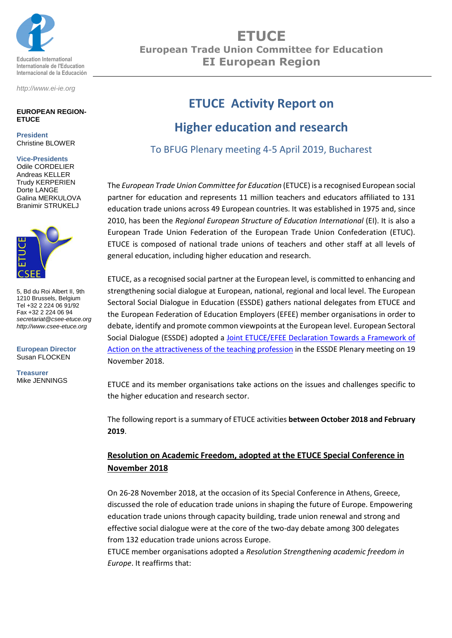

*http://www.ei-ie.org*

#### **EUROPEAN REGION-ETUCE**

**President** Christine BLOWER

#### **Vice-Presidents**

Odile CORDELIER Andreas KELLER Trudy KERPERIEN Dorte LANGE Galina MERKULOVA Branimir STRUKELJ



5, Bd du Roi Albert II, 9th 1210 Brussels, Belgium Tel +32 2 224 06 91/92 Fax +32 2 224 06 94 *secretariat@csee-etuce.org http://www.csee-etuce.org*

**European Director** Susan FLOCKEN

**Treasurer** Mike JENNINGS

# **ETUCE European Trade Union Committee for Education EI European Region**

# **ETUCE Activity Report on**

## **Higher education and research**

To BFUG Plenary meeting 4-5 April 2019, Bucharest

The *European Trade Union Committee for Education* (ETUCE) is a recognised European social partner for education and represents 11 million teachers and educators affiliated to 131 education trade unions across 49 European countries. It was established in 1975 and, since 2010, has been the *Regional European Structure of Education International* (EI). It is also a European Trade Union Federation of the European Trade Union Confederation (ETUC). ETUCE is composed of national trade unions of teachers and other staff at all levels of general education, including higher education and research.

ETUCE, as a recognised social partner at the European level, is committed to enhancing and strengthening social dialogue at European, national, regional and local level. The European Sectoral Social Dialogue in Education (ESSDE) gathers national delegates from ETUCE and the European Federation of Education Employers (EFEE) member organisations in order to debate, identify and promote common viewpoints at the European level. European Sectoral Social Dialogue (ESSDE) adopted a [Joint ETUCE/EFEE Declaration Towards a Framework of](https://csee-etuce.org/en/documents/statements/2843-joint-etuce-efee-declaration-towards-a-framework-of-action-on-the-attractiveness-of-the-teaching-profession-november-2018)  [Action on the attractiveness of the teaching profession](https://csee-etuce.org/en/documents/statements/2843-joint-etuce-efee-declaration-towards-a-framework-of-action-on-the-attractiveness-of-the-teaching-profession-november-2018) in the ESSDE Plenary meeting on 19 November 2018.

ETUCE and its member organisations take actions on the issues and challenges specific to the higher education and research sector.

The following report is a summary of ETUCE activities **between October 2018 and February 2019**.

## **Resolution on Academic Freedom, adopted at the ETUCE Special Conference in November 2018**

On 26-28 November 2018, at the occasion of its Special Conference in Athens, Greece, discussed the role of education trade unions in shaping the future of Europe. Empowering education trade unions through capacity building, trade union renewal and strong and effective social dialogue were at the core of the two-day debate among 300 delegates from 132 education trade unions across Europe.

ETUCE member organisations adopted a *Resolution Strengthening academic freedom in Europe*. It reaffirms that: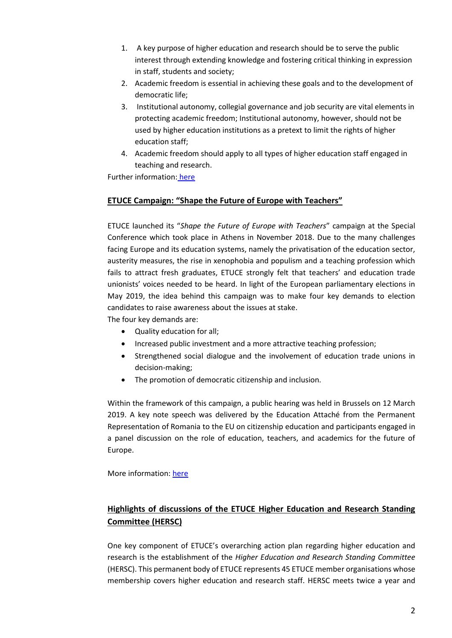- 1. A key purpose of higher education and research should be to serve the public interest through extending knowledge and fostering critical thinking in expression in staff, students and society;
- 2. Academic freedom is essential in achieving these goals and to the development of democratic life;
- 3. Institutional autonomy, collegial governance and job security are vital elements in protecting academic freedom; Institutional autonomy, however, should not be used by higher education institutions as a pretext to limit the rights of higher education staff;
- 4. Academic freedom should apply to all types of higher education staff engaged in teaching and research.

Further information: [here](https://www.csee-etuce.org/images/attachments/RS_Academic-Freedom-in-Europe_ADOPTED.pdf)

### **ETUCE Campaign: "Shape the Future of Europe with Teachers"**

ETUCE launched its "*Shape the Future of Europe with Teachers*" campaign at the Special Conference which took place in Athens in November 2018. Due to the many challenges facing Europe and its education systems, namely the privatisation of the education sector, austerity measures, the rise in xenophobia and populism and a teaching profession which fails to attract fresh graduates, ETUCE strongly felt that teachers' and education trade unionists' voices needed to be heard. In light of the European parliamentary elections in May 2019, the idea behind this campaign was to make four key demands to election candidates to raise awareness about the issues at stake.

The four key demands are:

- Quality education for all;
- Increased public investment and a more attractive teaching profession;
- Strengthened social dialogue and the involvement of education trade unions in decision-making;
- The promotion of democratic citizenship and inclusion.

Within the framework of this campaign, a public hearing was held in Brussels on 12 March 2019. A key note speech was delivered by the Education Attaché from the Permanent Representation of Romania to the EU on citizenship education and participants engaged in a panel discussion on the role of education, teachers, and academics for the future of Europe.

More information: [here](https://www.csee-etuce.org/en/actions/campaigns/shape-the-future-of-europe-with-teachers/2868-shape-the-future-of-europe-with-teachers)

## **Highlights of discussions of the ETUCE Higher Education and Research Standing Committee (HERSC)**

One key component of ETUCE's overarching action plan regarding higher education and research is the establishment of the *Higher Education and Research Standing Committee* (HERSC). This permanent body of ETUCE represents 45 ETUCE member organisations whose membership covers higher education and research staff. HERSC meets twice a year and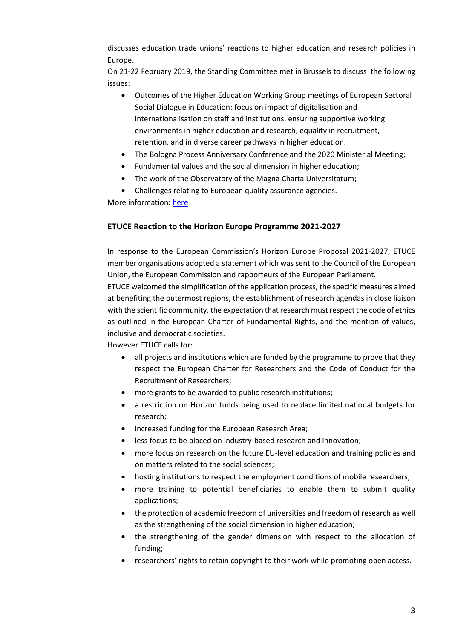discusses education trade unions' reactions to higher education and research policies in Europe.

On 21-22 February 2019, the Standing Committee met in Brussels to discuss the following issues:

- Outcomes of the Higher Education Working Group meetings of European Sectoral Social Dialogue in Education: focus on impact of digitalisation and internationalisation on staff and institutions, ensuring supportive working environments in higher education and research, equality in recruitment, retention, and in diverse career pathways in higher education.
- The Bologna Process Anniversary Conference and the 2020 Ministerial Meeting;
- Fundamental values and the social dimension in higher education;
- The work of the Observatory of the Magna Charta Universitatum;
- Challenges relating to European quality assurance agencies.

More information: [here](https://csee-etuce.org/en/news/archive/2981-job-security-is-basis-of-academic-freedom-say-higher-education-research-trade-unions?highlight=WyJoZXJzYyIsMjAxOV0=)

### **ETUCE Reaction to the Horizon Europe Programme 2021-2027**

In response to the European Commission's Horizon Europe Proposal 2021-2027, ETUCE member organisations adopted a statement which was sent to the Council of the European Union, the European Commission and rapporteurs of the European Parliament.

ETUCE welcomed the simplification of the application process, the specific measures aimed at benefiting the outermost regions, the establishment of research agendas in close liaison with the scientific community, the expectation that research must respect the code of ethics as outlined in the European Charter of Fundamental Rights, and the mention of values, inclusive and democratic societies.

However ETUCE calls for:

- all projects and institutions which are funded by the programme to prove that they respect the European Charter for Researchers and the Code of Conduct for the Recruitment of Researchers;
- more grants to be awarded to public research institutions;
- a restriction on Horizon funds being used to replace limited national budgets for research;
- increased funding for the European Research Area;
- less focus to be placed on industry-based research and innovation;
- more focus on research on the future EU-level education and training policies and on matters related to the social sciences;
- hosting institutions to respect the employment conditions of mobile researchers;
- more training to potential beneficiaries to enable them to submit quality applications;
- the protection of academic freedom of universities and freedom of research as well as the strengthening of the social dimension in higher education;
- the strengthening of the gender dimension with respect to the allocation of funding;
- researchers' rights to retain copyright to their work while promoting open access.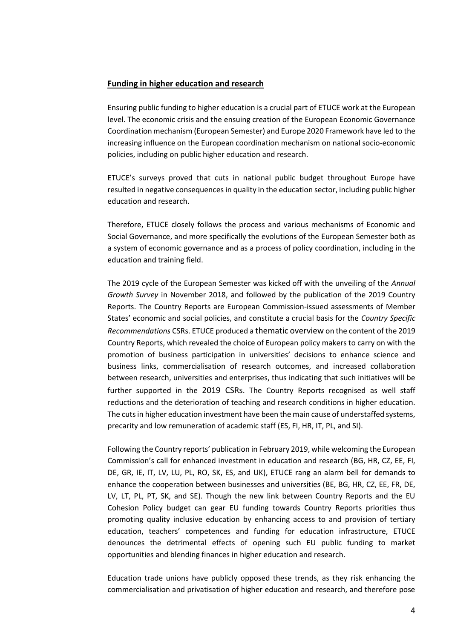#### **Funding in higher education and research**

Ensuring public funding to higher education is a crucial part of ETUCE work at the European level. The economic crisis and the ensuing creation of the European Economic Governance Coordination mechanism (European Semester) and Europe 2020 Framework have led to the increasing influence on the European coordination mechanism on national socio-economic policies, including on public higher education and research.

ETUCE's surveys proved that cuts in national public budget throughout Europe have resulted in negative consequences in quality in the education sector, including public higher education and research.

Therefore, ETUCE closely follows the process and various mechanisms of Economic and Social Governance, and more specifically the evolutions of the European Semester both as a system of economic governance and as a process of policy coordination, including in the education and training field.

The 2019 cycle of the European Semester was kicked off with the unveiling of the *Annual Growth Survey* in November 2018, and followed by the publication of the 2019 Country Reports. The Country Reports are European Commission-issued assessments of Member States' economic and social policies, and constitute a crucial basis for the *Country Specific Recommendations* CSRs. ETUCE produced a thematic overview on the content of the 2019 Country Reports, which revealed the choice of European policy makers to carry on with the promotion of business participation in universities' decisions to enhance science and business links, commercialisation of research outcomes, and increased collaboration between research, universities and enterprises, thus indicating that such initiatives will be further supported in the 2019 CSRs. The Country Reports recognised as well staff reductions and the deterioration of teaching and research conditions in higher education. The cuts in higher education investment have been the main cause of understaffed systems, precarity and low remuneration of academic staff (ES, FI, HR, IT, PL, and SI).

Following the Country reports' publication in February 2019, while welcoming the European Commission's call for enhanced investment in education and research (BG, HR, CZ, EE, FI, DE, GR, IE, IT, LV, LU, PL, RO, SK, ES, and UK), ETUCE rang an alarm bell for demands to enhance the cooperation between businesses and universities (BE, BG, HR, CZ, EE, FR, DE, LV, LT, PL, PT, SK, and SE). Though the new link between Country Reports and the EU Cohesion Policy budget can gear EU funding towards Country Reports priorities thus promoting quality inclusive education by enhancing access to and provision of tertiary education, teachers' competences and funding for education infrastructure, ETUCE denounces the detrimental effects of opening such EU public funding to market opportunities and blending finances in higher education and research.

Education trade unions have publicly opposed these trends, as they risk enhancing the commercialisation and privatisation of higher education and research, and therefore pose